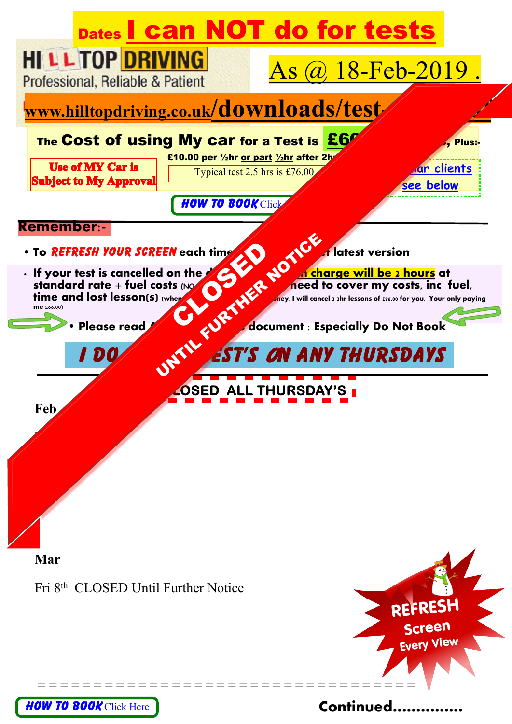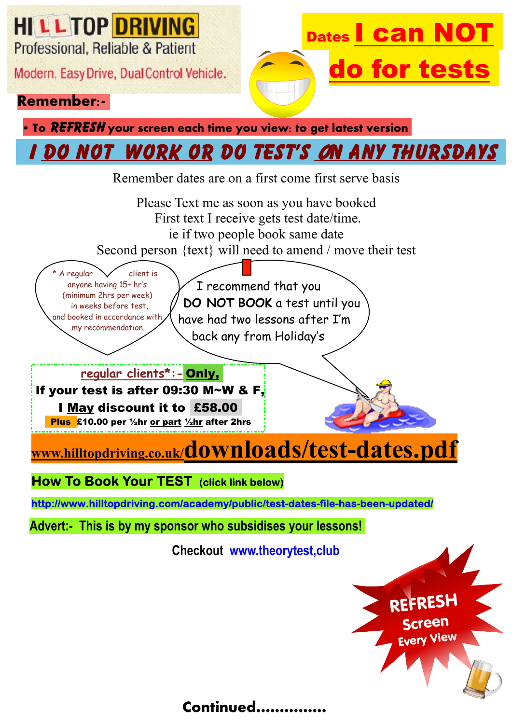**HILLTOP DRIVING** 

Professional, Reliable & Patient

Modern, Easy Drive, Dual Control Vehicle.

#### **Remember:-**

**Dates Can do for tests**

**• To REFRESH** your screen each time you view: to get latest version

## **I do NOT work or DO test's n any Thursdays**

Remember dates are on a first come first serve basis

Please Text me as soon as you have booked First text I receive gets test date/time. ie if two people book same date Second person {text} will need to amend / move their test **www.hilltopdriving.co.uk/downloads/test-dates.pdf** I recommend that you  **DO NOT BOOK** a test until you have had two lessons after I'm back any from Holiday's **regular clients\*:- Only, If your test is after 09:30 M~W & F, I May discount it to £58.00 Plus £10.00 per ½hr or part ½hr after 2hrs** A regular  $\vee$  client is anyone having 15+ hr's (minimum 2hrs per week) in weeks before test, and booked in accordance with my recommendation.

<span id="page-1-0"></span>**How To Book Your TEST** (click link below)

http://www.hilltopdriving.com/academy/public/test-dates-file-has-been-updated/

**Advert:- This is by my sponsor who subsidises your lessons!**

**Checkout [www.theorytest,club](http://www.university-cash-campus.co.uk)**



### **Continued……………**